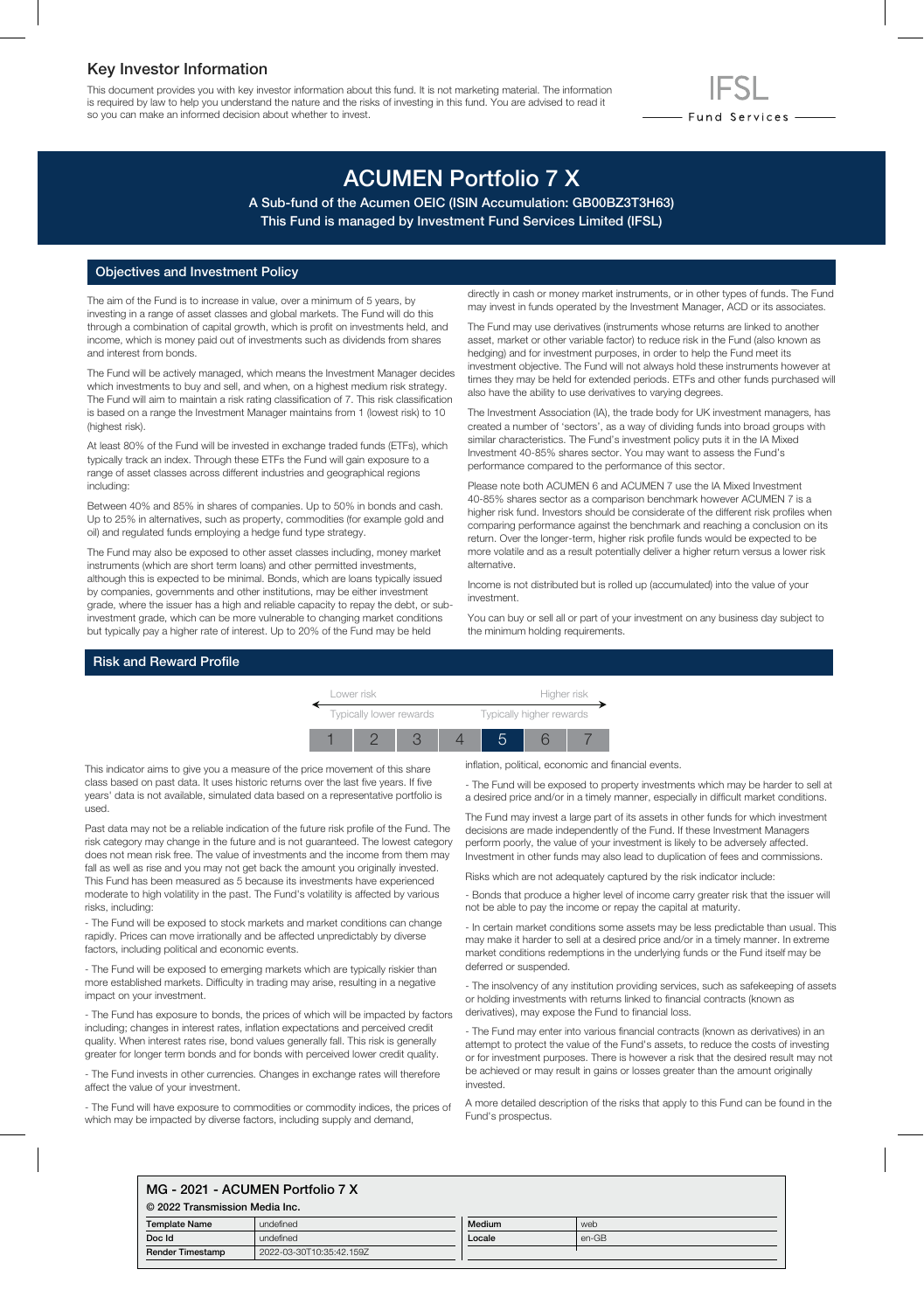### Key Investor Information

This document provides you with key investor information about this fund. It is not marketing material. The information is required by law to help you understand the nature and the risks of investing in this fund. You are advised to read it so you can make an informed decision about whether to invest.

# ACUMEN Portfolio 7 X

A Sub-fund of the Acumen OEIC (ISIN Accumulation: GB00BZ3T3H63) This Fund is managed by Investment Fund Services Limited (IFSL)

#### Objectives and Investment Policy

The aim of the Fund is to increase in value, over a minimum of 5 years, by investing in a range of asset classes and global markets. The Fund will do this through a combination of capital growth, which is profit on investments held, and income, which is money paid out of investments such as dividends from shares and interest from bonds.

The Fund will be actively managed, which means the Investment Manager decides which investments to buy and sell, and when, on a highest medium risk strategy. The Fund will aim to maintain a risk rating classification of 7. This risk classification is based on a range the Investment Manager maintains from 1 (lowest risk) to 10 (highest risk).

At least 80% of the Fund will be invested in exchange traded funds (ETFs), which typically track an index. Through these ETFs the Fund will gain exposure to a range of asset classes across different industries and geographical regions including:

Between 40% and 85% in shares of companies. Up to 50% in bonds and cash. Up to 25% in alternatives, such as property, commodities (for example gold and oil) and regulated funds employing a hedge fund type strategy.

The Fund may also be exposed to other asset classes including, money market instruments (which are short term loans) and other permitted investments, although this is expected to be minimal. Bonds, which are loans typically issued by companies, governments and other institutions, may be either investment grade, where the issuer has a high and reliable capacity to repay the debt, or subinvestment grade, which can be more vulnerable to changing market conditions but typically pay a higher rate of interest. Up to 20% of the Fund may be held

directly in cash or money market instruments, or in other types of funds. The Fund may invest in funds operated by the Investment Manager, ACD or its associates.

- Fund Services —

The Fund may use derivatives (instruments whose returns are linked to another asset, market or other variable factor) to reduce risk in the Fund (also known as hedging) and for investment purposes, in order to help the Fund meet its investment objective. The Fund will not always hold these instruments however at times they may be held for extended periods. ETFs and other funds purchased will also have the ability to use derivatives to varying degrees.

The Investment Association (IA), the trade body for UK investment managers, has created a number of 'sectors', as a way of dividing funds into broad groups with similar characteristics. The Fund's investment policy puts it in the IA Mixed Investment 40-85% shares sector. You may want to assess the Fund's performance compared to the performance of this sector.

Please note both ACUMEN 6 and ACUMEN 7 use the IA Mixed Investment 40-85% shares sector as a comparison benchmark however ACUMEN 7 is a higher risk fund. Investors should be considerate of the different risk profiles when comparing performance against the benchmark and reaching a conclusion on its return. Over the longer-term, higher risk profile funds would be expected to be more volatile and as a result potentially deliver a higher return versus a lower risk alternative.

Income is not distributed but is rolled up (accumulated) into the value of your investment.

You can buy or sell all or part of your investment on any business day subject to the minimum holding requirements.

#### Risk and Reward Profile



This indicator aims to give you a measure of the price movement of this share class based on past data. It uses historic returns over the last five years. If five years' data is not available, simulated data based on a representative portfolio is used.

Past data may not be a reliable indication of the future risk profile of the Fund. The risk category may change in the future and is not guaranteed. The lowest category does not mean risk free. The value of investments and the income from them may fall as well as rise and you may not get back the amount you originally invested. This Fund has been measured as 5 because its investments have experienced moderate to high volatility in the past. The Fund's volatility is affected by various risks, including:

- The Fund will be exposed to stock markets and market conditions can change rapidly. Prices can move irrationally and be affected unpredictably by diverse factors, including political and economic events.

- The Fund will be exposed to emerging markets which are typically riskier than more established markets. Difficulty in trading may arise, resulting in a negative impact on your investment.

- The Fund has exposure to bonds, the prices of which will be impacted by factors including; changes in interest rates, inflation expectations and perceived credit quality. When interest rates rise, bond values generally fall. This risk is generally greater for longer term bonds and for bonds with perceived lower credit quality.

- The Fund invests in other currencies. Changes in exchange rates will therefore affect the value of your investment.

- The Fund will have exposure to commodities or commodity indices, the prices of which may be impacted by diverse factors, including supply and demand,

inflation, political, economic and financial events.

- The Fund will be exposed to property investments which may be harder to sell at a desired price and/or in a timely manner, especially in difficult market conditions.

The Fund may invest a large part of its assets in other funds for which investment decisions are made independently of the Fund. If these Investment Managers perform poorly, the value of your investment is likely to be adversely affected. Investment in other funds may also lead to duplication of fees and commissions.

Risks which are not adequately captured by the risk indicator include:

- Bonds that produce a higher level of income carry greater risk that the issuer will not be able to pay the income or repay the capital at maturity.

- In certain market conditions some assets may be less predictable than usual. This may make it harder to sell at a desired price and/or in a timely manner. In extreme market conditions redemptions in the underlying funds or the Fund itself may be deferred or suspended.

- The insolvency of any institution providing services, such as safekeeping of assets or holding investments with returns linked to financial contracts (known as derivatives), may expose the Fund to financial loss.

- The Fund may enter into various financial contracts (known as derivatives) in an attempt to protect the value of the Fund's assets, to reduce the costs of investing or for investment purposes. There is however a risk that the desired result may not be achieved or may result in gains or losses greater than the amount originally invested.

A more detailed description of the risks that apply to this Fund can be found in the Fund's prospectus.